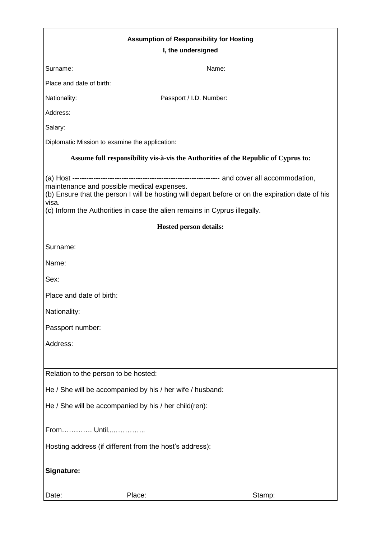| <b>Assumption of Responsibility for Hosting</b>                                                                                  |                                                                                                  |
|----------------------------------------------------------------------------------------------------------------------------------|--------------------------------------------------------------------------------------------------|
| I, the undersigned                                                                                                               |                                                                                                  |
| Surname:                                                                                                                         | Name:                                                                                            |
| Place and date of birth:                                                                                                         |                                                                                                  |
| Nationality:                                                                                                                     | Passport / I.D. Number:                                                                          |
| Address:                                                                                                                         |                                                                                                  |
| Salary:                                                                                                                          |                                                                                                  |
| Diplomatic Mission to examine the application:                                                                                   |                                                                                                  |
| Assume full responsibility vis-à-vis the Authorities of the Republic of Cyprus to:                                               |                                                                                                  |
| maintenance and possible medical expenses.<br>visa.<br>(c) Inform the Authorities in case the alien remains in Cyprus illegally. | (b) Ensure that the person I will be hosting will depart before or on the expiration date of his |
| <b>Hosted person details:</b>                                                                                                    |                                                                                                  |
| Surname:                                                                                                                         |                                                                                                  |
| Name:                                                                                                                            |                                                                                                  |
| Sex:                                                                                                                             |                                                                                                  |
| Place and date of birth:                                                                                                         |                                                                                                  |
| Nationality:                                                                                                                     |                                                                                                  |
| Passport number:                                                                                                                 |                                                                                                  |
| Address:                                                                                                                         |                                                                                                  |
| Relation to the person to be hosted:                                                                                             |                                                                                                  |
| He / She will be accompanied by his / her wife / husband:                                                                        |                                                                                                  |
| He / She will be accompanied by his / her child(ren):                                                                            |                                                                                                  |
| From Until                                                                                                                       |                                                                                                  |
| Hosting address (if different from the host's address):                                                                          |                                                                                                  |
| Signature:                                                                                                                       |                                                                                                  |
| Place:<br>Date:                                                                                                                  | Stamp:                                                                                           |